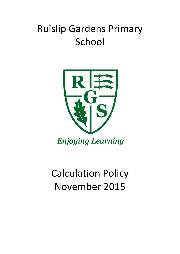# Ruislip Gardens Primary School



## Calculation Policy November 2015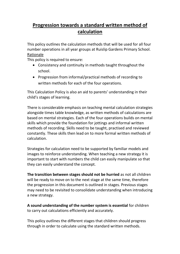## **Progression towards a standard written method of calculation**

This policy outlines the calculation methods that will be used for all four number operations in all year groups at Ruislip Gardens Primary School. Rationale

This policy is required to ensure:

- Consistency and continuity in methods taught throughout the school.
- Progression from informal/practical methods of recording to written methods for each of the four operations.

This Calculation Policy is also an aid to parents' understanding in their child's stages of learning.

There is considerable emphasis on teaching mental calculation strategies alongside times table knowledge, as written methods of calculations are based on mental strategies. Each of the four operations builds on mental skills which provide the foundation for jottings and informal written methods of recording. Skills need to be taught, practised and reviewed constantly. These skills then lead on to more formal written methods of calculation.

Strategies for calculation need to be supported by familiar models and images to reinforce understanding. When teaching a new strategy it is important to start with numbers the child can easily manipulate so that they can easily understand the concept.

**The transition between stages should not be hurried** as not all children will be ready to move on to the next stage at the same time, therefore the progression in this document is outlined in stages. Previous stages may need to be revisited to consolidate understanding when introducing a new strategy.

**A sound understanding of the number system is essential** for children to carry out calculations efficiently and accurately.

This policy outlines the different stages that children should progress through in order to calculate using the standard written methods.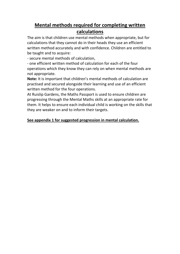## **Mental methods required for completing written calculations**

The aim is that children use mental methods when appropriate, but for calculations that they cannot do in their heads they use an efficient written method accurately and with confidence. Children are entitled to be taught and to acquire:

- secure mental methods of calculation,

- one efficient written method of calculation for each of the four operations which they know they can rely on when mental methods are not appropriate.

**Note:** It is important that children's mental methods of calculation are practised and secured alongside their learning and use of an efficient written method for the four operations.

At Ruislip Gardens, the Maths Passport is used to ensure children are progressing through the Mental Maths skills at an appropriate rate for them. It helps to ensure each individual child is working on the skills that they are weaker on and to inform their targets.

#### **See appendix 1 for suggested progression in mental calculation.**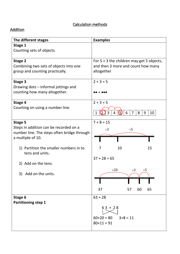### Calculation methods

#### **Addition**

| The different stages                        | <b>Examples</b>                                         |
|---------------------------------------------|---------------------------------------------------------|
| Stage 1                                     |                                                         |
| Counting sets of objects.                   |                                                         |
| <b>Stage 2</b>                              | For $5 + 3$ the children may get 5 objects,             |
| Combining two sets of objects into one      | and then 3 more and count how many                      |
| group and counting practically.             | altogether                                              |
| Stage 3                                     | $2 + 3 = 5$                                             |
| Drawing dots – informal jottings and        |                                                         |
| counting how many altogether.               |                                                         |
| Stage 4                                     | $2 + 3 = 5$                                             |
| Counting on using a number line.            |                                                         |
|                                             | G<br>3<br>6<br>$\overline{7}$<br>8<br>9<br>10<br>1<br>4 |
| <b>Stage 5</b>                              | $7 + 8 = 15$                                            |
| Steps in addition can be recorded on a      | $+3$<br>$+5$                                            |
| number line. The steps often bridge through |                                                         |
| a multiple of 10.                           |                                                         |
| 1) Partition the smaller numbers in to      | 10<br>15<br>7                                           |
| tens and units.                             |                                                         |
|                                             | $37 + 28 = 65$                                          |
| 2) Add on the tens.                         |                                                         |
|                                             | $+20$<br>$+3$ $+5$                                      |
| 3) Add on the units.                        |                                                         |
|                                             |                                                         |
|                                             | 37<br>60<br>65<br>57                                    |
| Stage 6                                     | $63 + 28$                                               |
| <b>Partitioning step 1</b>                  |                                                         |
|                                             | $63 + 28$                                               |
|                                             | $60+20=80$<br>$3+8=11$                                  |
|                                             | $80+11 = 91$                                            |
|                                             |                                                         |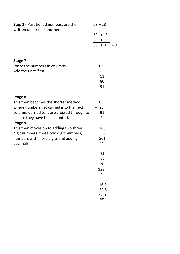| <b>Step 2 - Partitioned numbers are then</b><br>written under one another.                                                                                                  | $63 + 28$<br>$60 + 3$<br>$20 + 8$<br>$80 + 11 = 91$ |
|-----------------------------------------------------------------------------------------------------------------------------------------------------------------------------|-----------------------------------------------------|
| Stage 7<br>Write the numbers in columns.<br>Add the units first.                                                                                                            | 63<br>$+ 28$<br>11<br>80<br>91                      |
| Stage 8<br>This then becomes the shorter method<br>where numbers get carried into the next<br>column. Carried tens are crossed through to<br>ensure they have been counted. | 63<br>$+28$<br>91<br>x                              |
| Stage 9<br>This then moves on to adding two three<br>digit numbers, three two digit numbers,<br>numbers with more digits and adding<br>decimals.                            | 163<br>$+398$<br>561<br>X X                         |
|                                                                                                                                                                             | 34<br>$+ 72$<br>26<br>132<br>$\pmb{\mathcal{X}}$    |
|                                                                                                                                                                             | 16.3<br>$+ 39.8$<br>56.1<br>$\chi\chi$              |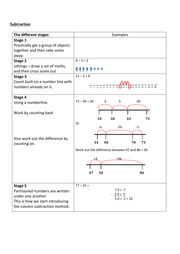#### **Subtraction**

| The different stages                                                                                                                           | Examples                                                                                        |
|------------------------------------------------------------------------------------------------------------------------------------------------|-------------------------------------------------------------------------------------------------|
| Stage 1<br>Practically get a group of objects<br>together and then take some<br>away.                                                          |                                                                                                 |
| Stage 2<br>Jottings – draw a set of marks,<br>and then cross some out<br>Stage 3<br>Count back on a number line with<br>numbers already on it. | $8 - 5 = 3$<br>$12 - 3 = 9$<br>(2) 13 14 15 16 17 18 19 20<br>4 5<br>8<br>6<br>$\overline{7}$   |
| Stage 4<br>Using a numberline.<br>Work by counting back                                                                                        | $73 - 39 = 34$<br>$-30$<br>-4<br>$-5$<br>34<br>38<br>43<br>73<br>Or                             |
| Also work out the difference by<br>counting on.                                                                                                | $-30$<br>$-3$<br>-6<br>34<br>73<br>70<br>40<br>Work out the difference between 47 and $86 = 39$ |
|                                                                                                                                                | $+36$<br>86<br>50<br>47                                                                         |
| Stage 5<br>Partitioned numbers are written<br>under one another.<br>This is how we start introducing<br>the column subtraction method.         | $77 - 25 =$<br>$70 + 7$<br>$-20+5$<br>$50 + 2 = 52$                                             |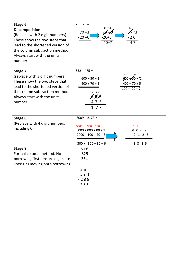| Stage 6<br>Decomposition<br>(Replace with 2 digit numbers)<br>These show the two steps that<br>lead to the shortened version of<br>the column subtraction method.<br>Always start with the units<br>number. | $73 - 26 =$<br>60<br>13<br>'3<br>$70 + 3$<br>70'+A<br>$-20+6$<br>$-20+6$<br>$-26$<br>$40 + 7$<br>47                                                                                           |
|-------------------------------------------------------------------------------------------------------------------------------------------------------------------------------------------------------------|-----------------------------------------------------------------------------------------------------------------------------------------------------------------------------------------------|
| Stage 7<br>(replace with 3 digit numbers)<br>These show the two steps that<br>lead to the shortened version of<br>the column subtraction method.<br>Always start with the units<br>number.                  | $652 - 475 =$<br>500<br>140<br>$600 + 50 + 2$<br>$600 + 50 + 2$<br>$400 + 70 + 5$<br>$400 + 70 + 5$<br>$100 + 70 + 7$<br>5 14 12<br>$\cancel{B}$ $\cancel{B}/\cancel{2}$<br>$-4$ 7 5<br>1 7 7 |
| Stage 8<br>(Replace with 4 digit numbers<br>including 0)                                                                                                                                                    | $6009 - 2123 =$<br>900<br>100<br>5000<br>9<br>5<br>$6000 + 000 + 00 + 9$<br>$8'0'0$ 9<br>$-2000 + 100 + 20 + 3$<br>$-2$ 1 2 3<br>$300 + 800 + 80 + 6$<br>3886                                 |
| Stage 9<br>Formal column method. No<br>borrowing first (ensure digits are<br>lined up) moving onto borrowing.                                                                                               | 679<br>325<br>354<br>4 11<br>52'1<br>286<br>235                                                                                                                                               |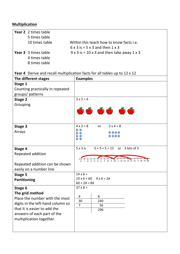#### **Multiplication**

| <b>Year 2</b> 2 times table |                                                   |
|-----------------------------|---------------------------------------------------|
| 5 times table               |                                                   |
| 10 times table              | Within this teach how to know facts i.e.          |
|                             | $6 \times 3$ is = 5 x 3 and then 1 x 3            |
| <b>Year 3</b> 3 times table | $9 \times 3$ is = 10 x 3 and then take away 1 x 3 |
| 4 times table               |                                                   |
| 8 times table               |                                                   |

### **Year 4** Derive and recall multiplication facts for all tables up to 12 x 12

| The different stages                                              | <b>Examples</b>                                                     |
|-------------------------------------------------------------------|---------------------------------------------------------------------|
| Stage 1                                                           |                                                                     |
| Counting practically in repeated                                  |                                                                     |
| groups/patterns                                                   |                                                                     |
| <b>Stage 2</b>                                                    | $3x2=6$                                                             |
| Grouping                                                          |                                                                     |
|                                                                   | $\bullet$ $\bullet$ $\bullet$ $\bullet$ $\bullet$                   |
|                                                                   |                                                                     |
| Stage 3                                                           | $4 \times 2 = 8$<br>$2 \times 4 = 8$<br><b>or</b>                   |
| Arrays                                                            | 0000                                                                |
|                                                                   | 0000                                                                |
|                                                                   |                                                                     |
| Stage 4                                                           | $5 + 5 + 5 = 15$ or 3 lots of 5<br>$5 \times 3$ is                  |
| Repeated addition                                                 |                                                                     |
|                                                                   | 8 9 10 11 12 13 14 15 16 17 18 19 20<br>45<br>123<br>$\overline{7}$ |
| Repeated addition can be shown                                    |                                                                     |
| easily on a number line                                           |                                                                     |
| <b>Stage 5</b>                                                    | $14 \times 6 =$                                                     |
| Partitioning                                                      | $10 \times 6 = 60$ $4 \times 6 = 24$                                |
|                                                                   | $60 + 24 = 84$<br>$37 \times 8 =$                                   |
| Stage 6                                                           |                                                                     |
| The grid method<br>Place the number with the most                 | X<br>8                                                              |
|                                                                   | 30<br>240                                                           |
| digits in the left-hand column so<br>that it is easier to add the | $\overline{7}$<br>56                                                |
| answers of each part of the                                       | 296                                                                 |
| multiplication together.                                          |                                                                     |
|                                                                   |                                                                     |
|                                                                   |                                                                     |
|                                                                   |                                                                     |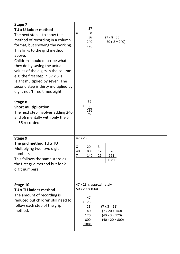| Stage 7                                                                                                                                                                                                                                                                                                                                                                                                |                                                                                                                                                                                                                     |
|--------------------------------------------------------------------------------------------------------------------------------------------------------------------------------------------------------------------------------------------------------------------------------------------------------------------------------------------------------------------------------------------------------|---------------------------------------------------------------------------------------------------------------------------------------------------------------------------------------------------------------------|
| TU x U ladder method                                                                                                                                                                                                                                                                                                                                                                                   | 37                                                                                                                                                                                                                  |
| The next step is to show the<br>method of recording in a column<br>format, but showing the working.<br>This links to the grid method<br>above.<br>Children should describe what<br>they do by saying the actual<br>values of the digits in the column.<br>e.g. the first step in 37 x 8 is<br>'eight multiplied by seven. The<br>second step is thirty multiplied by<br>eight not 'three times eight'. | X<br>8<br>56<br>$(7 \times 8 = 56)$<br>240<br>$(30 \times 8 = 240)$<br>296                                                                                                                                          |
| Stage 8<br><b>Short multiplication</b><br>The next step involves adding 240<br>and 56 mentally with only the 5<br>in 56 recorded.                                                                                                                                                                                                                                                                      | 37<br>$\mathsf{X}$<br>8<br>296<br>$\overline{\mathcal{F}}$                                                                                                                                                          |
| Stage 9<br>The grid method TU x TU<br>Multiplying two, two digit<br>numbers.<br>This follows the same steps as<br>the first grid method but for 2<br>digit numbers                                                                                                                                                                                                                                     | 47 x 23<br>3<br>20<br>X<br>920<br>40<br>800<br>120<br>$\overline{7}$<br>140<br>21<br>161<br>1081                                                                                                                    |
| Stage 10<br><b>TU x TU ladder method</b><br>The amount of recording is<br>reduced but children still need to<br>follow each step of the grip<br>method.                                                                                                                                                                                                                                                | 47 x 23 is approximately<br>50 x 20 is 1000<br>47<br>X <sub>23</sub><br>21<br>$(7 \times 3 = 21)$<br>$(7 \times 20 = 140)$<br>140<br>$(40 \times 3 = 120)$<br>120<br>800<br>$(40 \times 20 = 800)$<br><u> 1081 </u> |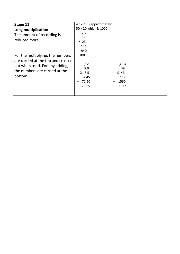| Stage 11<br>Long multiplication<br>The amount of recording is<br>reduced more.                                                                       | 47 x 23 is approximately<br>50 x 20 which is 1000<br>イオ<br>47<br>X <sub>23</sub><br>141<br>+ 940                                        |  |
|------------------------------------------------------------------------------------------------------------------------------------------------------|-----------------------------------------------------------------------------------------------------------------------------------------|--|
| For the multiplying, the numbers<br>are carried at the top and crossed<br>out when used. For any adding,<br>the numbers are carried at the<br>bottom | 1081<br>$\neq$ $\neq$<br>$\lambda$<br>8.9<br>39<br>$X$ 8.5<br>$X$ 43<br>4.45<br>117<br>71.20<br>1560<br>$\ddot{}$<br>75.65<br>1677<br>Ã |  |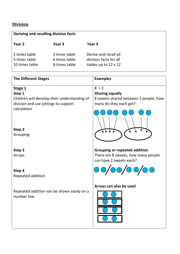#### **Division**

| Deriving and recalling division facts            |                                                 |                                                                                |
|--------------------------------------------------|-------------------------------------------------|--------------------------------------------------------------------------------|
| Year 2                                           | Year 3                                          | Year 4                                                                         |
| 2 times table<br>5 times table<br>10 times table | 3 times table<br>4 times table<br>8 times table | Derive and recall all<br>division facts for all<br>tables up to $12 \times 12$ |

| <b>The Different Stages</b>                                                                               | <b>Examples</b>                                                                                         |
|-----------------------------------------------------------------------------------------------------------|---------------------------------------------------------------------------------------------------------|
| Stage 1<br>Step 1<br>Children will develop their understanding of<br>division and use jottings to support | $8 \div 2$<br><b>Sharing equally</b><br>8 sweets shared between 2 people, how<br>many do they each get? |
| calculation                                                                                               |                                                                                                         |
| Step 2<br>Grouping                                                                                        |                                                                                                         |
| Step 3<br>Arrays                                                                                          | <b>Grouping or repeated addition</b><br>There are 8 sweets, how many people<br>can have 2 sweets each?  |
| Step 4<br>Repeated addition                                                                               |                                                                                                         |
| Repeated addition van be shown easily on a<br>number line                                                 | Arrays can also be used                                                                                 |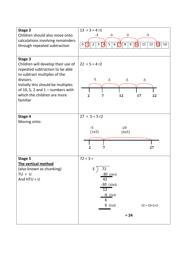| <b>Stage 2</b><br>Children should also move onto<br>calculations involving remainders<br>through repeated subtraction                                                                                                                                | $13 \div 3 = 4 r1$<br>$-3$<br>$-3$<br>$-3$<br>$-3$<br>$\boldsymbol{\Omega}$<br>5<br>$\,8\,$<br>$\overline{2}$<br>$\mathbf{3}$<br>7<br>9<br>11<br>12<br>$\bigcirc$<br>$\overline{4}$<br>6<br>14<br>0<br>$\left( 1\right)$ |
|------------------------------------------------------------------------------------------------------------------------------------------------------------------------------------------------------------------------------------------------------|--------------------------------------------------------------------------------------------------------------------------------------------------------------------------------------------------------------------------|
| Stage 3<br>Children will develop their use of<br>repeated subtraction to be able<br>to subtract multiples of the<br>divisors.<br>Initially this should be multiples<br>of 10, 5, 2 and $1 -$ numbers with<br>which the children are more<br>familiar | $22 \div 5 = 4 r2$<br>$-5$<br>$-5$<br>$-5$<br>$-5$<br>$\overline{2}$<br>12<br>17<br>22<br>7                                                                                                                              |
| Stage 4<br>Moving onto:                                                                                                                                                                                                                              | $27 \div 5 = 5$ r2<br>$-5$<br>$-20$<br>(1x5)<br>(4x5)<br>$\overline{2}$<br>27<br>7                                                                                                                                       |
| Stage 5<br>The vertical method<br>(also known as chunking)<br>$TU + U$<br>And $HTU \div U$                                                                                                                                                           | $72 \div 3 =$<br>$\overline{3}$<br>72<br>$-30$ (10x3)<br>42<br>$-30$ (10x3)<br>12<br>$-6$ (2x3)<br>6<br>6(2x3)<br>$10 + 10 + 2 + 2$<br>$= 24$                                                                            |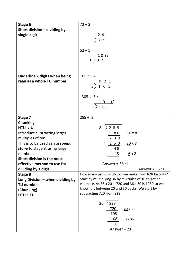| Stage 6                                             | $72 \div 3 =$                                         |
|-----------------------------------------------------|-------------------------------------------------------|
| Short division $-$ dividing by a                    |                                                       |
| single digit                                        | $\frac{24}{3}$ $\frac{27}{2}$                         |
|                                                     |                                                       |
|                                                     | $52 \div 5 =$                                         |
|                                                     | $\begin{array}{c} 10 r^2 \\ 5 \end{array}$            |
|                                                     |                                                       |
|                                                     |                                                       |
| Underline 2 digits when being                       | $105 \div 5 =$                                        |
| read as a whole TU number                           |                                                       |
|                                                     | $\frac{0}{5}$ $\frac{2}{1}$ 0 5                       |
|                                                     | $305 \div 3 =$                                        |
|                                                     |                                                       |
|                                                     | $\frac{101r^2}{3}$ 3 0 5                              |
|                                                     |                                                       |
| Stage 7                                             | $289 \div 8$                                          |
| <b>Chunking</b><br>$HTU \div U$                     | $8^{2}$ 2 8 9                                         |
| Introduce subtracting larger                        | $10 \times 8$                                         |
| multiples of ten.                                   | $\frac{-80}{209}$                                     |
| This is to be used as a <i>stepping</i>             | $160$<br>$20 \times 8$                                |
| stone to stage 8, using larger                      | 49                                                    |
| numbers.                                            | 48<br>$6 \times 8$                                    |
| Short division is the most                          | 1                                                     |
| effective method to use for<br>dividing by 1 digit. | Answer = $36 r1$<br>Answer = $36 r1$                  |
| Stage 8                                             | How many packs of 36 can we make from 828 biscuits?   |
| Long Division $-$ when dividing by                  | Start by multiplying 36 by multiples of 10 to get an  |
| <b>TU number</b>                                    | estimate. As 36 x 20 is 720 and 36 x 30 is 1080 so we |
| (Chunking)                                          | know it is between 20 and 30 packs. We start by       |
| $HTU \div TU$                                       | subtracting 720 from 828.                             |
|                                                     | $36 \;$ $\geq 828$                                    |
|                                                     | $-720$<br>$20 \times 36$                              |
|                                                     | 108                                                   |
|                                                     | $-108$<br>$\frac{3}{2}$ x 36<br>0                     |
|                                                     | Answer = $23$                                         |